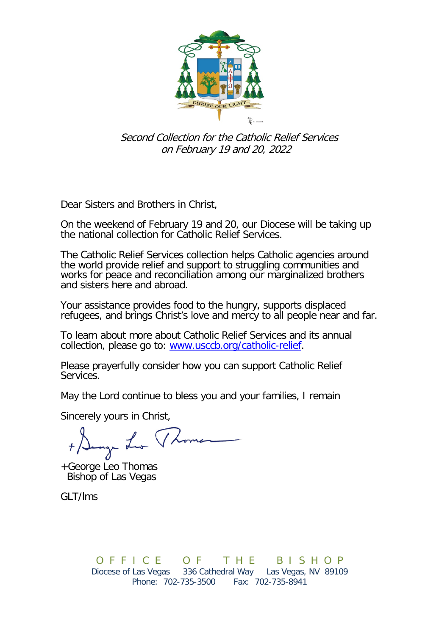

 Second Collection for the Catholic Relief Services on February 19 and 20, 2022

Dear Sisters and Brothers in Christ,

On the weekend of February 19 and 20, our Diocese will be taking up the national collection for Catholic Relief Services.

The Catholic Relief Services collection helps Catholic agencies around the world provide relief and support to struggling communities and works for peace and reconciliation among our marginalized brothers and sisters here and abroad.

Your assistance provides food to the hungry, supports displaced refugees, and brings Christ's love and mercy to all people near and far.

To learn about more about Catholic Relief Services and its annual collection, please go to: [www.usccb.org/catholic-relief.](http://www.usccb.org/catholic-relief)

Please prayerfully consider how you can support Catholic Relief Services.

May the Lord continue to bless you and your families, I remain

Sincerely yours in Christ,

er Lev

+George Leo Thomas Bishop of Las Vegas

GLT/lms

O F F I C E O F T H E B I S H O P<br>Diocese of Las Vegas 336 Cathedral Way Las Vegas, NV 89109 336 Cathedral Way Phone: 702-735-3500 Fax: 702-735-8941